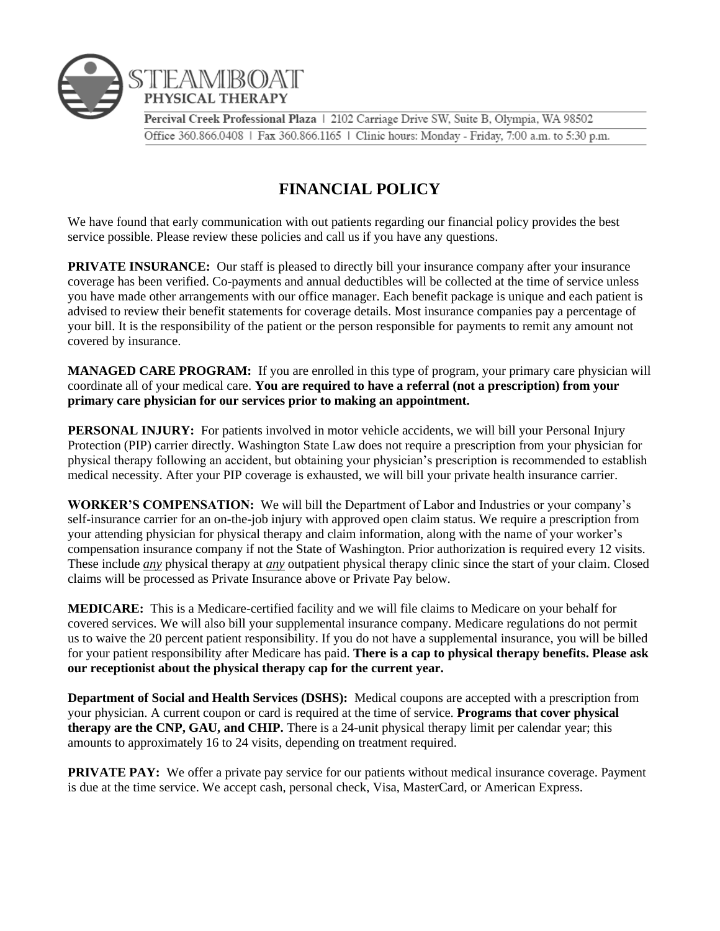

## **FINANCIAL POLICY**

We have found that early communication with out patients regarding our financial policy provides the best service possible. Please review these policies and call us if you have any questions.

**PRIVATE INSURANCE:** Our staff is pleased to directly bill your insurance company after your insurance coverage has been verified. Co-payments and annual deductibles will be collected at the time of service unless you have made other arrangements with our office manager. Each benefit package is unique and each patient is advised to review their benefit statements for coverage details. Most insurance companies pay a percentage of your bill. It is the responsibility of the patient or the person responsible for payments to remit any amount not covered by insurance.

**MANAGED CARE PROGRAM:** If you are enrolled in this type of program, your primary care physician will coordinate all of your medical care. **You are required to have a referral (not a prescription) from your primary care physician for our services prior to making an appointment.** 

**PERSONAL INJURY:** For patients involved in motor vehicle accidents, we will bill your Personal Injury Protection (PIP) carrier directly. Washington State Law does not require a prescription from your physician for physical therapy following an accident, but obtaining your physician's prescription is recommended to establish medical necessity. After your PIP coverage is exhausted, we will bill your private health insurance carrier.

**WORKER'S COMPENSATION:** We will bill the Department of Labor and Industries or your company's self-insurance carrier for an on-the-job injury with approved open claim status. We require a prescription from your attending physician for physical therapy and claim information, along with the name of your worker's compensation insurance company if not the State of Washington. Prior authorization is required every 12 visits. These include *any* physical therapy at *any* outpatient physical therapy clinic since the start of your claim. Closed claims will be processed as Private Insurance above or Private Pay below.

**MEDICARE:** This is a Medicare-certified facility and we will file claims to Medicare on your behalf for covered services. We will also bill your supplemental insurance company. Medicare regulations do not permit us to waive the 20 percent patient responsibility. If you do not have a supplemental insurance, you will be billed for your patient responsibility after Medicare has paid. **There is a cap to physical therapy benefits. Please ask our receptionist about the physical therapy cap for the current year.** 

**Department of Social and Health Services (DSHS):** Medical coupons are accepted with a prescription from your physician. A current coupon or card is required at the time of service. **Programs that cover physical therapy are the CNP, GAU, and CHIP.** There is a 24-unit physical therapy limit per calendar year; this amounts to approximately 16 to 24 visits, depending on treatment required.

**PRIVATE PAY:** We offer a private pay service for our patients without medical insurance coverage. Payment is due at the time service. We accept cash, personal check, Visa, MasterCard, or American Express.